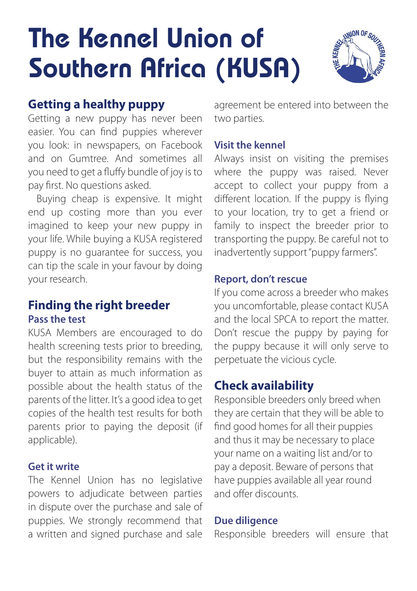# The Kennel Union of Southern Africa (KUSA)



# **Getting a healthy puppy**

Getting a new puppy has never been easier. You can find puppies wherever you look: in newspapers, on Facebook and on Gumtree. And sometimes all you need to get a fluffy bundle of joy is to pay first. No questions asked.

Buying cheap is expensive. It might end up costing more than you ever imagined to keep your new puppy in your life. While buying a KUSA registered puppy is no guarantee for success, you can tip the scale in your favour by doing your research.

## **Finding the right breeder Pass the test**

KUSA Members are encouraged to do health screening tests prior to breeding, but the responsibility remains with the buyer to attain as much information as possible about the health status of the parents of the litter. It's a good idea to get copies of the health test results for both parents prior to paying the deposit (if applicable).

#### **Get it write**

The Kennel Union has no legislative powers to adjudicate between parties in dispute over the purchase and sale of puppies. We strongly recommend that a written and signed purchase and sale agreement be entered into between the two parties.

#### **Visit the kennel**

Always insist on visiting the premises where the puppy was raised. Never accept to collect your puppy from a different location. If the puppy is flying to your location, try to get a friend or family to inspect the breeder prior to transporting the puppy. Be careful not to inadvertently support "puppy farmers".

#### **Report, don't rescue**

If you come across a breeder who makes you uncomfortable, please contact KUSA and the local SPCA to report the matter. Don't rescue the puppy by paying for the puppy because it will only serve to perpetuate the vicious cycle.

## **Check availability**

Responsible breeders only breed when they are certain that they will be able to find good homes for all their puppies and thus it may be necessary to place your name on a waiting list and/or to pay a deposit. Beware of persons that have puppies available all year round and offer discounts.

#### **Due diligence**

Responsible breeders will ensure that